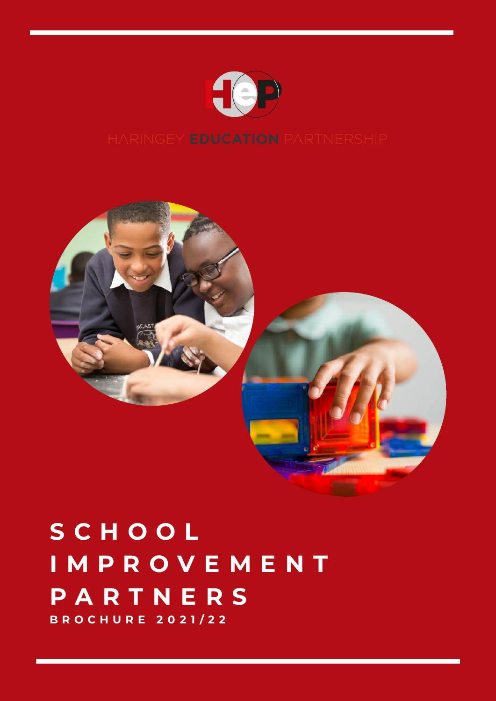



#### **S C H O O L I M P R O V E M E N T P A R T N E R S B R O C H U R E 2 0 2 1 / 2 2**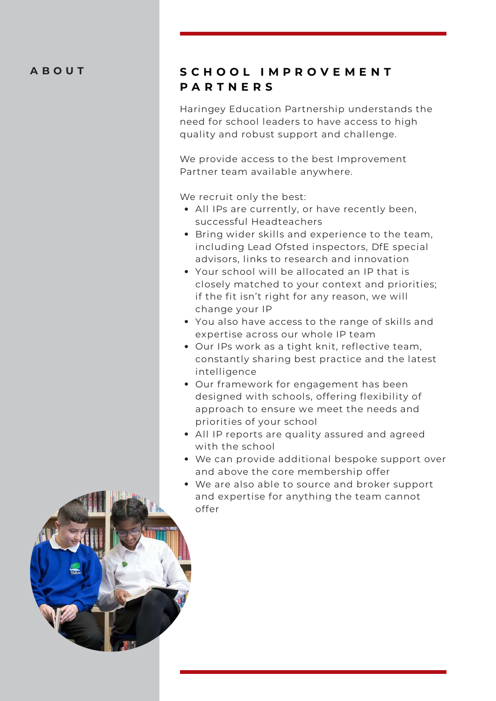#### **A B O U T**

#### **S C H O O L I M P R O V E M E N T P A R T N E R S**

Haringey Education Partnership understands the need for school leaders to have access to high quality and robust support and challenge.

[We provide access to the best Improvement](https://haringeyeducationpartnership.co.uk/our-team/) Partner team available anywhere.

We recruit only the best:

- All IPs are currently, or have recently been, successful Headteachers
- Bring wider skills and experience to the team, including Lead Ofsted inspectors, DfE special advisors, links to research and innovation
- Your school will be allocated an IP that is closely matched to your context and priorities; if the fit isn't right for any reason, we will change your IP
- You also have access to the range of skills and expertise across our whole IP team
- Our IPs work as a tight knit, reflective team, constantly sharing best practice and the latest intelligence
- Our framework for engagement has been designed with schools, offering flexibility of approach to ensure we meet the needs and priorities of your school
- All IP reports are quality assured and agreed with the school
- We can provide additional bespoke support over and above the core membership offer
- We are also able to source and broker support and expertise for anything the team cannot offer

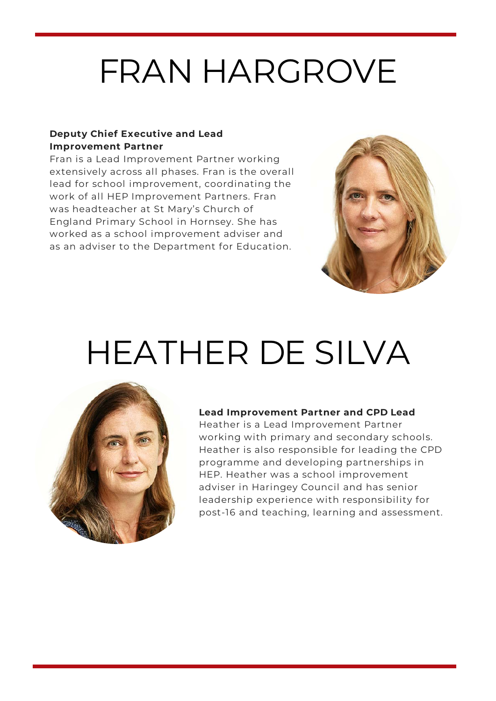#### FRAN HARGROVE

#### **Deputy Chief Executive and Lead Improvement Partner**

Fran is a Lead Improvement Partner working extensively across all phases. Fran is the overall lead for school improvement, coordinating the work of all HEP Improvement Partners. Fran was headteacher at St Mary's Church of England Primary School in Hornsey. She has worked as a school improvement adviser and as an adviser to the Department for Education.



#### HEATHER DE SILVA



#### **Lead Improvement Partner and CPD Lead**

Heather is a Lead Improvement Partner working with primary and secondary schools. Heather is also responsible for leading the CPD programme and developing partnerships in HEP. Heather was a school improvement adviser in Haringey Council and has senior leadership experience with responsibility for post-16 and teaching, learning and assessment.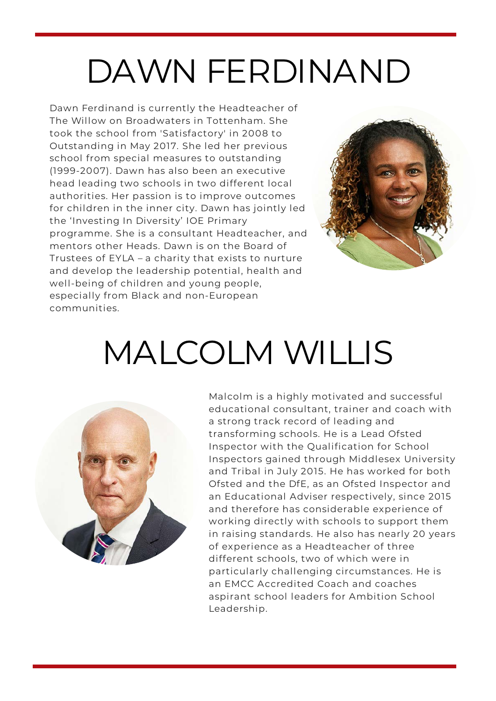### DAWN FERDINAND

Dawn Ferdinand is currently the Headteacher of The Willow on Broadwaters in Tottenham. She took the school from 'Satisfactory' in 2008 to Outstanding in May 2017. She led her previous school from special measures to outstanding (1999-2007). Dawn has also been an executive head leading two schools in two different local authorities. Her passion is to improve outcomes for children in the inner city. Dawn has jointly led the 'Investing In Diversity' IOE Primary programme. She is a consultant Headteacher, and mentors other Heads. Dawn is on the Board of Trustees of EYLA – a charity that exists to nurture and develop the leadership potential, health and well-being of children and young people, especially from Black and non-European communities.



#### MALCOLM WILLIS



Malcolm is a highly motivated and successful educational consultant, trainer and coach with a strong track record of leading and transforming schools. He is a Lead Ofsted Inspector with the Qualification for School Inspectors gained through Middlesex University and Tribal in July 2015. He has worked for both Ofsted and the DfE, as an Ofsted Inspector and an Educational Adviser respectively, since 2015 and therefore has considerable experience of working directly with schools to support them in raising standards. He also has nearly 20 years of experience as a Headteacher of three different schools, two of which were in particularly challenging circumstances. He is an EMCC Accredited Coach and coaches aspirant school leaders for Ambition School Leadership.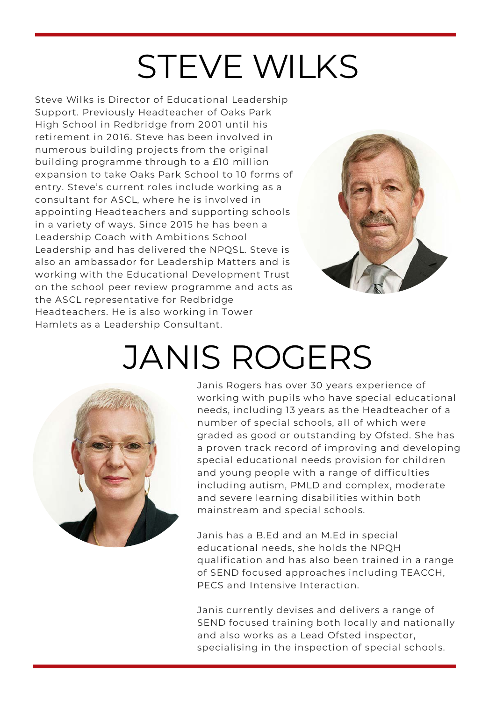#### STEVE WILKS

Steve Wilks is Director of Educational Leadership Support. Previously Headteacher of Oaks Park High School in Redbridge from 2001 until his retirement in 2016. Steve has been involved in numerous building projects from the original building programme through to a £10 million expansion to take Oaks Park School to 10 forms of entry. Steve's current roles include working as a consultant for ASCL, where he is involved in appointing Headteachers and supporting schools in a variety of ways. Since 2015 he has been a Leadership Coach with Ambitions School Leadership and has delivered the NPQSL. Steve is also an ambassador for Leadership Matters and is working with the Educational Development Trust on the school peer review programme and acts as the ASCL representative for Redbridge Headteachers. He is also working in Tower Hamlets as a Leadership Consultant.



#### JANIS ROGERS



Janis Rogers has over 30 years experience of working with pupils who have special educational needs, including 13 years as the Headteacher of a number of special schools, all of which were graded as good or outstanding by Ofsted. She has a proven track record of improving and developing special educational needs provision for children and young people with a range of difficulties including autism, PMLD and complex, moderate and severe learning disabilities within both mainstream and special schools.

Janis has a B.Ed and an M.Ed in special educational needs, she holds the NPQH qualification and has also been trained in a range of SEND focused approaches including TEACCH, PECS and Intensive Interaction.

Janis currently devises and delivers a range of SEND focused training both locally and nationally and also works as a Lead Ofsted inspector, specialising in the inspection of special schools.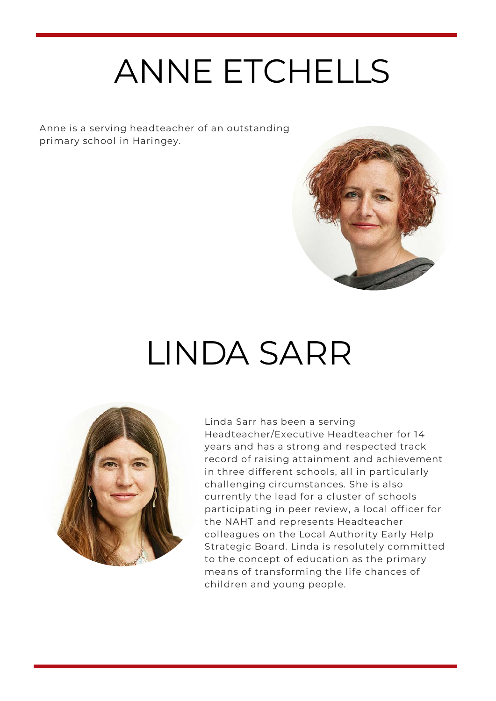# ANNE ETCHELLS

Anne is a serving headteacher of an outstanding primary school in Haringey.



#### LINDA SARR



Linda Sarr has been a serving Headteacher/Executive Headteacher for 14 years and has a strong and respected track record of raising attainment and achievement in three different schools, all in particularly challenging circumstances. She is also currently the lead for a cluster of schools participating in peer review, a local officer for the NAHT and represents Headteacher colleagues on the Local Authority Early Help Strategic Board. Linda is resolutely committed to the concept of education as the primary means of transforming the life chances of children and young people.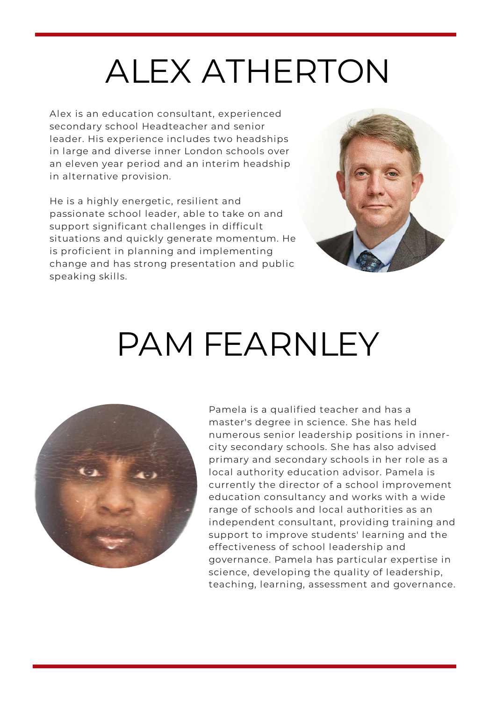### ALEX ATHERTON

Alex is an education consultant, experienced secondary school Headteacher and senior leader. His experience includes two headships in large and diverse inner London schools over an eleven year period and an interim headship in alternative provision.

He is a highly energetic, resilient and passionate school leader, able to take on and support significant challenges in difficult situations and quickly generate momentum. He is proficient in planning and implementing change and has strong presentation and public speaking skills.



#### PAM FEARNLEY



Pamela is a qualified teacher and has a master's degree in science. She has held numerous senior leadership positions in innercity secondary schools. She has also advised primary and secondary schools in her role as a local authority education advisor. Pamela is currently the director of a school improvement education consultancy and works with a wide range of schools and local authorities as an independent consultant, providing training and support to improve students' learning and the effectiveness of school leadership and governance. Pamela has particular expertise in science, developing the quality of leadership, teaching, learning, assessment and governance.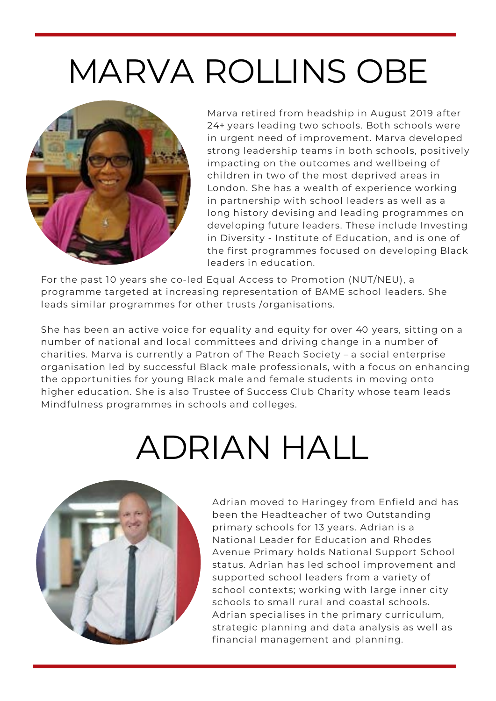### MARVA ROLLINS OBE



Marva retired from headship in August 2019 after 24+ years leading two schools. Both schools were in urgent need of improvement. Marva developed strong leadership teams in both schools, positively impacting on the outcomes and wellbeing of children in two of the most deprived areas in London. She has a wealth of experience working in partnership with school leaders as well as a long history devising and leading programmes on developing future leaders. These include Investing in Diversity - Institute of Education, and is one of the first programmes focused on developing Black leaders in education.

For the past 10 years she co-led Equal Access to Promotion (NUT/NEU), a programme targeted at increasing representation of BAME school leaders. She leads similar programmes for other trusts /organisations.

She has been an active voice for equality and equity for over 40 years, sitting on a number of national and local committees and driving change in a number of charities. Marva is currently a Patron of The Reach Society – a social enterprise organisation led by successful Black male professionals, with a focus on enhancing the opportunities for young Black male and female students in moving onto higher education. She is also Trustee of Success Club Charity whose team leads Mindfulness programmes in schools and colleges.

# ADRIAN HALL



Adrian moved to Haringey from Enfield and has been the Headteacher of two Outstanding primary schools for 13 years. Adrian is a National Leader for Education and Rhodes Avenue Primary holds National Support School status. Adrian has led school improvement and supported school leaders from a variety of school contexts; working with large inner city schools to small rural and coastal schools. Adrian specialises in the primary curriculum, strategic planning and data analysis as well as financial management and planning.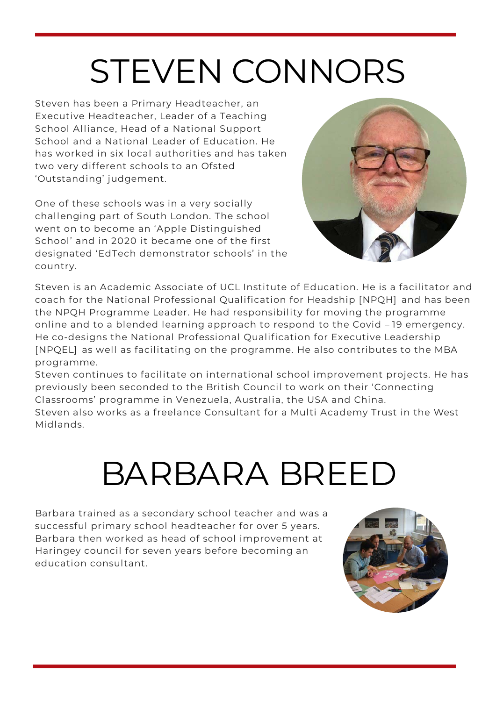# STEVEN CONNORS

Steven has been a Primary Headteacher, an Executive Headteacher, Leader of a Teaching School Alliance, Head of a National Support School and a National Leader of Education. He has worked in six local authorities and has taken two very different schools to an Ofsted 'Outstanding' judgement.

One of these schools was in a very socially challenging part of South London. The school went on to become an 'Apple Distinguished School' and in 2020 it became one of the first designated 'EdTech demonstrator schools' in the country.



Steven is an Academic Associate of UCL Institute of Education. He is a facilitator and coach for the National Professional Qualification for Headship [NPQH] and has been the NPQH Programme Leader. He had responsibility for moving the programme online and to a blended learning approach to respond to the Covid – 19 emergency. He co-designs the National Professional Qualification for Executive Leadership [NPQEL] as well as facilitating on the programme. He also contributes to the MBA programme.

Steven continues to facilitate on international school improvement projects. He has previously been seconded to the British Council to work on their 'Connecting Classrooms' programme in Venezuela, Australia, the USA and China.

Steven also works as a freelance Consultant for a Multi Academy Trust in the West Midlands.

#### BARBARA BREED

Barbara trained as a secondary school teacher and was a successful primary school headteacher for over 5 years. Barbara then worked as head of school improvement at Haringey council for seven years before becoming an education consultant.

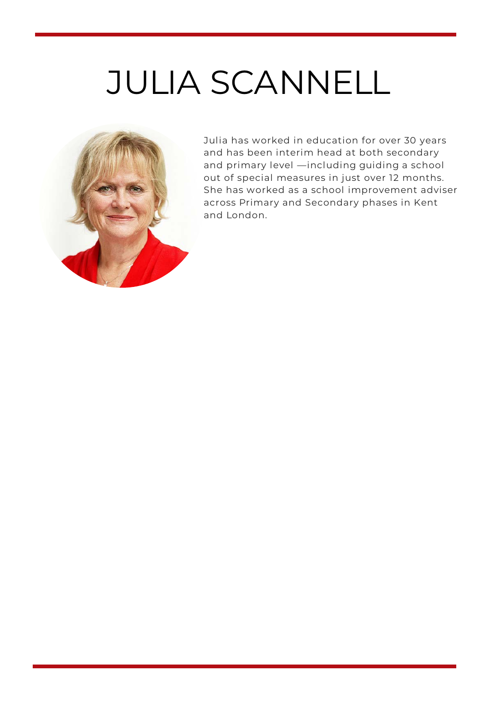### JULIA SCANNELL



Julia has worked in education for over 30 years and has been interim head at both secondary and primary level —including guiding a school out of special measures in just over 12 months. She has worked as a school improvement adviser across Primary and Secondary phases in Kent and London.